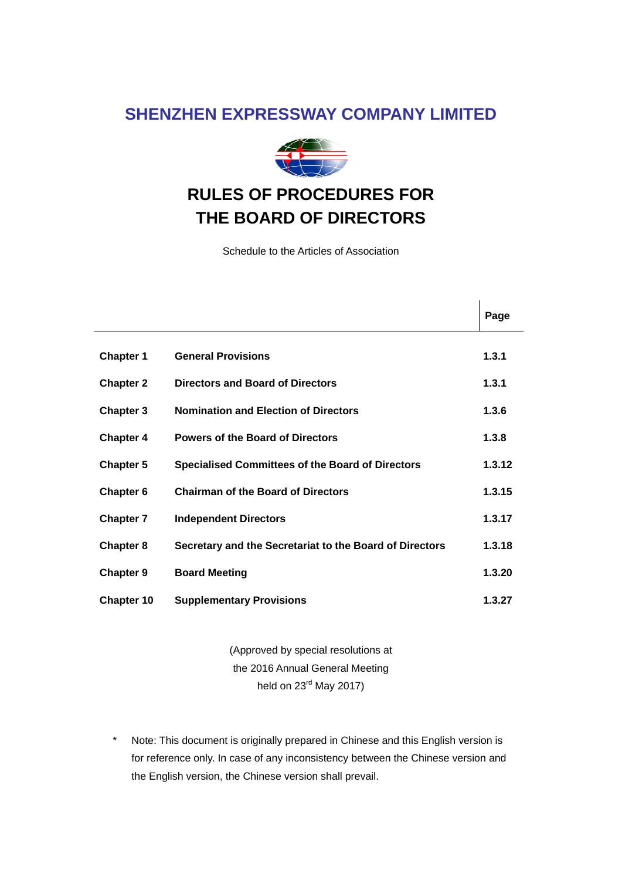## **SHENZHEN EXPRESSWAY COMPANY LIMITED**



# **RULES OF PROCEDURES FOR THE BOARD OF DIRECTORS**

Schedule to the Articles of Association

|                  |                                                         | Page   |
|------------------|---------------------------------------------------------|--------|
|                  |                                                         |        |
| <b>Chapter 1</b> | <b>General Provisions</b>                               | 1.3.1  |
| <b>Chapter 2</b> | <b>Directors and Board of Directors</b>                 | 1.3.1  |
| Chapter 3        | <b>Nomination and Election of Directors</b>             | 1.3.6  |
| <b>Chapter 4</b> | <b>Powers of the Board of Directors</b>                 | 1.3.8  |
| <b>Chapter 5</b> | <b>Specialised Committees of the Board of Directors</b> | 1.3.12 |
| Chapter 6        | <b>Chairman of the Board of Directors</b>               | 1.3.15 |
| <b>Chapter 7</b> | <b>Independent Directors</b>                            | 1.3.17 |
| <b>Chapter 8</b> | Secretary and the Secretariat to the Board of Directors | 1.3.18 |
| <b>Chapter 9</b> | <b>Board Meeting</b>                                    | 1.3.20 |
| Chapter 10       | <b>Supplementary Provisions</b>                         | 1.3.27 |

(Approved by special resolutions at the 2016 Annual General Meeting held on  $23<sup>rd</sup>$  May 2017)

\* Note: This document is originally prepared in Chinese and this English version is for reference only. In case of any inconsistency between the Chinese version and the English version, the Chinese version shall prevail.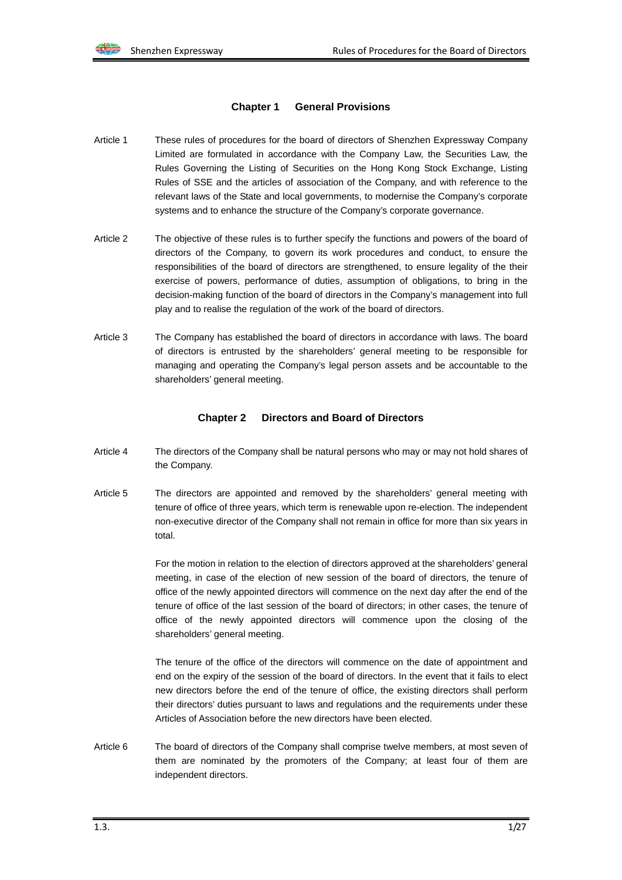#### **Chapter 1 General Provisions**

- Article 1 These rules of procedures for the board of directors of Shenzhen Expressway Company Limited are formulated in accordance with the Company Law, the Securities Law, the Rules Governing the Listing of Securities on the Hong Kong Stock Exchange, Listing Rules of SSE and the articles of association of the Company, and with reference to the relevant laws of the State and local governments, to modernise the Company's corporate systems and to enhance the structure of the Company's corporate governance.
- Article 2 The objective of these rules is to further specify the functions and powers of the board of directors of the Company, to govern its work procedures and conduct, to ensure the responsibilities of the board of directors are strengthened, to ensure legality of the their exercise of powers, performance of duties, assumption of obligations, to bring in the decision-making function of the board of directors in the Company's management into full play and to realise the regulation of the work of the board of directors.
- Article 3 The Company has established the board of directors in accordance with laws. The board of directors is entrusted by the shareholders' general meeting to be responsible for managing and operating the Company's legal person assets and be accountable to the shareholders' general meeting.

#### **Chapter 2 Directors and Board of Directors**

- Article 4 The directors of the Company shall be natural persons who may or may not hold shares of the Company.
- Article 5 The directors are appointed and removed by the shareholders' general meeting with tenure of office of three years, which term is renewable upon re-election. The independent non-executive director of the Company shall not remain in office for more than six years in total.

For the motion in relation to the election of directors approved at the shareholders' general meeting, in case of the election of new session of the board of directors, the tenure of office of the newly appointed directors will commence on the next day after the end of the tenure of office of the last session of the board of directors; in other cases, the tenure of office of the newly appointed directors will commence upon the closing of the shareholders' general meeting.

The tenure of the office of the directors will commence on the date of appointment and end on the expiry of the session of the board of directors. In the event that it fails to elect new directors before the end of the tenure of office, the existing directors shall perform their directors' duties pursuant to laws and regulations and the requirements under these Articles of Association before the new directors have been elected.

Article 6 The board of directors of the Company shall comprise twelve members, at most seven of them are nominated by the promoters of the Company; at least four of them are independent directors.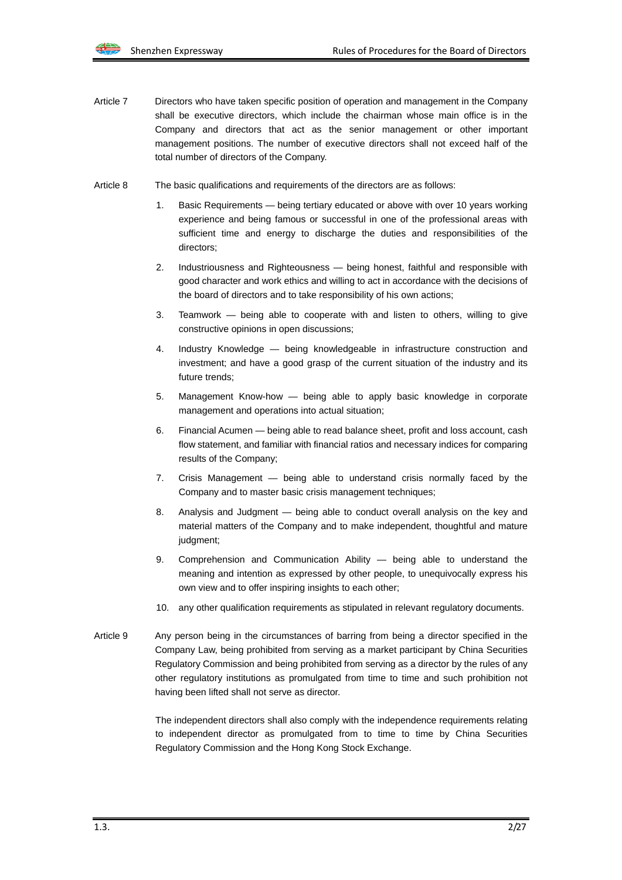- Article 7 Directors who have taken specific position of operation and management in the Company shall be executive directors, which include the chairman whose main office is in the Company and directors that act as the senior management or other important management positions. The number of executive directors shall not exceed half of the total number of directors of the Company.
- Article 8 The basic qualifications and requirements of the directors are as follows:
	- Basic Requirements being tertiary educated or above with over 10 years working experience and being famous or successful in one of the professional areas with sufficient time and energy to discharge the duties and responsibilities of the directors;
	- 2. Industriousness and Righteousness being honest, faithful and responsible with good character and work ethics and willing to act in accordance with the decisions of the board of directors and to take responsibility of his own actions;
	- 3. Teamwork being able to cooperate with and listen to others, willing to give constructive opinions in open discussions;
	- 4. Industry Knowledge being knowledgeable in infrastructure construction and investment; and have a good grasp of the current situation of the industry and its future trends;
	- 5. Management Know-how being able to apply basic knowledge in corporate management and operations into actual situation;
	- 6. Financial Acumen being able to read balance sheet, profit and loss account, cash flow statement, and familiar with financial ratios and necessary indices for comparing results of the Company;
	- 7. Crisis Management being able to understand crisis normally faced by the Company and to master basic crisis management techniques;
	- 8. Analysis and Judgment being able to conduct overall analysis on the key and material matters of the Company and to make independent, thoughtful and mature judgment;
	- 9. Comprehension and Communication Ability being able to understand the meaning and intention as expressed by other people, to unequivocally express his own view and to offer inspiring insights to each other;
	- 10. any other qualification requirements as stipulated in relevant regulatory documents.
- Article 9 Any person being in the circumstances of barring from being a director specified in the Company Law, being prohibited from serving as a market participant by China Securities Regulatory Commission and being prohibited from serving as a director by the rules of any other regulatory institutions as promulgated from time to time and such prohibition not having been lifted shall not serve as director.

The independent directors shall also comply with the independence requirements relating to independent director as promulgated from to time to time by China Securities Regulatory Commission and the Hong Kong Stock Exchange.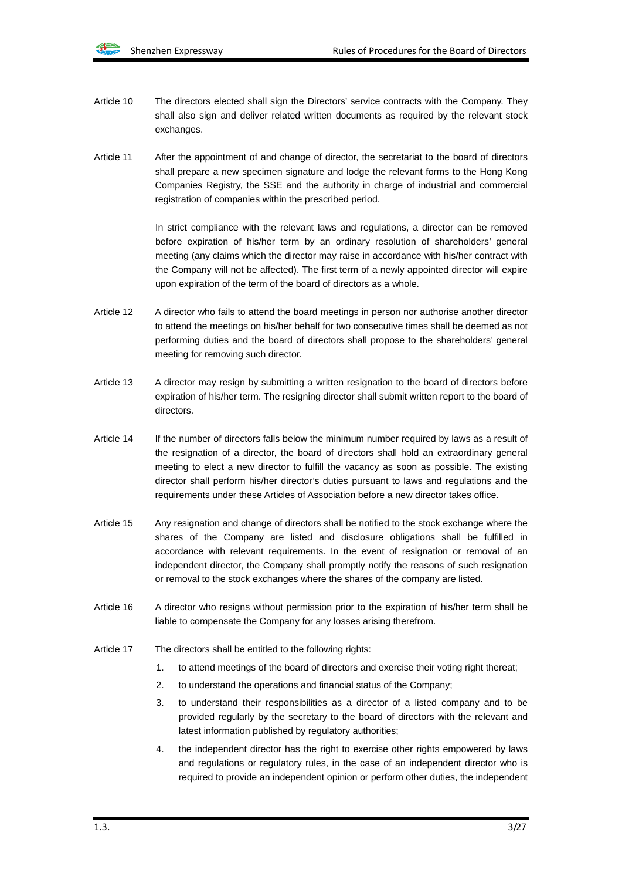- Article 10 The directors elected shall sign the Directors' service contracts with the Company. They shall also sign and deliver related written documents as required by the relevant stock exchanges.
- Article 11 After the appointment of and change of director, the secretariat to the board of directors shall prepare a new specimen signature and lodge the relevant forms to the Hong Kong Companies Registry, the SSE and the authority in charge of industrial and commercial registration of companies within the prescribed period.

In strict compliance with the relevant laws and regulations, a director can be removed before expiration of his/her term by an ordinary resolution of shareholders' general meeting (any claims which the director may raise in accordance with his/her contract with the Company will not be affected). The first term of a newly appointed director will expire upon expiration of the term of the board of directors as a whole.

- Article 12 A director who fails to attend the board meetings in person nor authorise another director to attend the meetings on his/her behalf for two consecutive times shall be deemed as not performing duties and the board of directors shall propose to the shareholders' general meeting for removing such director.
- Article 13 A director may resign by submitting a written resignation to the board of directors before expiration of his/her term. The resigning director shall submit written report to the board of directors.
- Article 14 If the number of directors falls below the minimum number required by laws as a result of the resignation of a director, the board of directors shall hold an extraordinary general meeting to elect a new director to fulfill the vacancy as soon as possible. The existing director shall perform his/her director's duties pursuant to laws and regulations and the requirements under these Articles of Association before a new director takes office.
- Article 15 Any resignation and change of directors shall be notified to the stock exchange where the shares of the Company are listed and disclosure obligations shall be fulfilled in accordance with relevant requirements. In the event of resignation or removal of an independent director, the Company shall promptly notify the reasons of such resignation or removal to the stock exchanges where the shares of the company are listed.
- Article 16 A director who resigns without permission prior to the expiration of his/her term shall be liable to compensate the Company for any losses arising therefrom.
- Article 17 The directors shall be entitled to the following rights:
	- 1. to attend meetings of the board of directors and exercise their voting right thereat;
	- 2. to understand the operations and financial status of the Company;
	- 3. to understand their responsibilities as a director of a listed company and to be provided regularly by the secretary to the board of directors with the relevant and latest information published by regulatory authorities;
	- 4. the independent director has the right to exercise other rights empowered by laws and regulations or regulatory rules, in the case of an independent director who is required to provide an independent opinion or perform other duties, the independent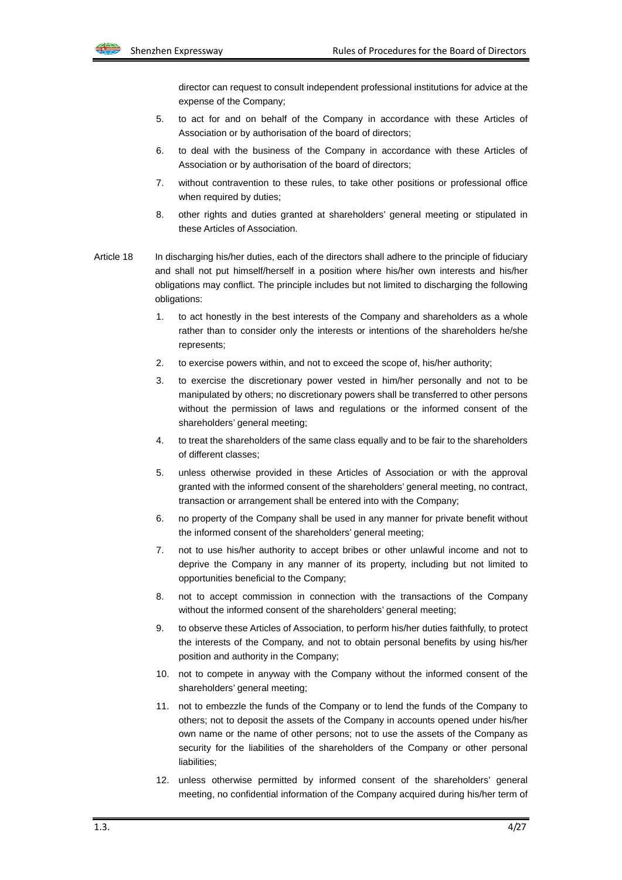director can request to consult independent professional institutions for advice at the expense of the Company;

- 5. to act for and on behalf of the Company in accordance with these Articles of Association or by authorisation of the board of directors;
- 6. to deal with the business of the Company in accordance with these Articles of Association or by authorisation of the board of directors;
- 7. without contravention to these rules, to take other positions or professional office when required by duties:
- 8. other rights and duties granted at shareholders' general meeting or stipulated in these Articles of Association.
- Article 18 In discharging his/her duties, each of the directors shall adhere to the principle of fiduciary and shall not put himself/herself in a position where his/her own interests and his/her obligations may conflict. The principle includes but not limited to discharging the following obligations:
	- 1. to act honestly in the best interests of the Company and shareholders as a whole rather than to consider only the interests or intentions of the shareholders he/she represents;
	- 2. to exercise powers within, and not to exceed the scope of, his/her authority;
	- 3. to exercise the discretionary power vested in him/her personally and not to be manipulated by others; no discretionary powers shall be transferred to other persons without the permission of laws and regulations or the informed consent of the shareholders' general meeting;
	- 4. to treat the shareholders of the same class equally and to be fair to the shareholders of different classes;
	- 5. unless otherwise provided in these Articles of Association or with the approval granted with the informed consent of the shareholders' general meeting, no contract, transaction or arrangement shall be entered into with the Company;
	- 6. no property of the Company shall be used in any manner for private benefit without the informed consent of the shareholders' general meeting;
	- 7. not to use his/her authority to accept bribes or other unlawful income and not to deprive the Company in any manner of its property, including but not limited to opportunities beneficial to the Company;
	- 8. not to accept commission in connection with the transactions of the Company without the informed consent of the shareholders' general meeting;
	- 9. to observe these Articles of Association, to perform his/her duties faithfully, to protect the interests of the Company, and not to obtain personal benefits by using his/her position and authority in the Company;
	- 10. not to compete in anyway with the Company without the informed consent of the shareholders' general meeting;
	- 11. not to embezzle the funds of the Company or to lend the funds of the Company to others; not to deposit the assets of the Company in accounts opened under his/her own name or the name of other persons; not to use the assets of the Company as security for the liabilities of the shareholders of the Company or other personal liabilities:
	- 12. unless otherwise permitted by informed consent of the shareholders' general meeting, no confidential information of the Company acquired during his/her term of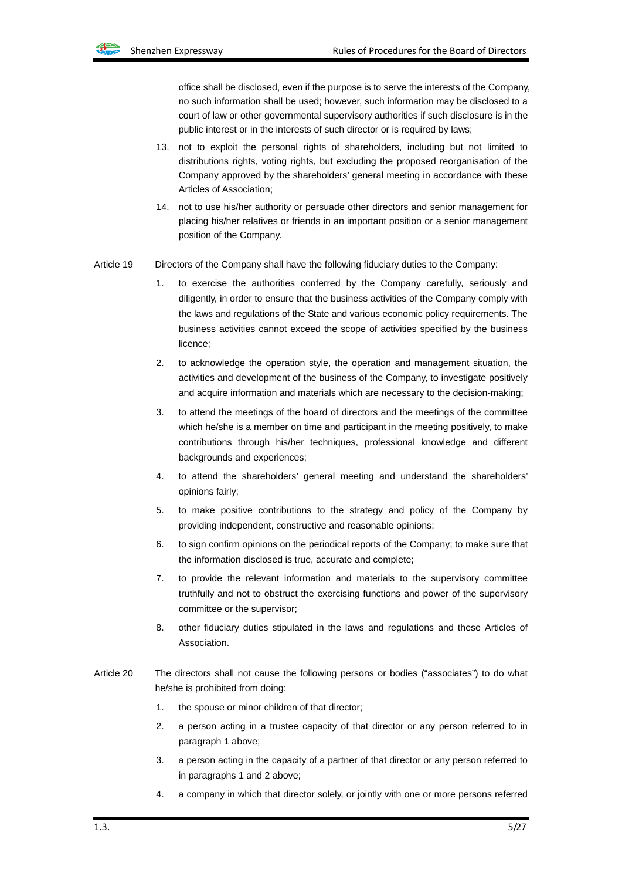office shall be disclosed, even if the purpose is to serve the interests of the Company, no such information shall be used; however, such information may be disclosed to a court of law or other governmental supervisory authorities if such disclosure is in the public interest or in the interests of such director or is required by laws;

- 13. not to exploit the personal rights of shareholders, including but not limited to distributions rights, voting rights, but excluding the proposed reorganisation of the Company approved by the shareholders' general meeting in accordance with these Articles of Association;
- 14. not to use his/her authority or persuade other directors and senior management for placing his/her relatives or friends in an important position or a senior management position of the Company.
- Article 19 Directors of the Company shall have the following fiduciary duties to the Company:
	- 1. to exercise the authorities conferred by the Company carefully, seriously and diligently, in order to ensure that the business activities of the Company comply with the laws and regulations of the State and various economic policy requirements. The business activities cannot exceed the scope of activities specified by the business licence;
	- 2. to acknowledge the operation style, the operation and management situation, the activities and development of the business of the Company, to investigate positively and acquire information and materials which are necessary to the decision-making;
	- 3. to attend the meetings of the board of directors and the meetings of the committee which he/she is a member on time and participant in the meeting positively, to make contributions through his/her techniques, professional knowledge and different backgrounds and experiences;
	- 4. to attend the shareholders' general meeting and understand the shareholders' opinions fairly;
	- 5. to make positive contributions to the strategy and policy of the Company by providing independent, constructive and reasonable opinions;
	- 6. to sign confirm opinions on the periodical reports of the Company; to make sure that the information disclosed is true, accurate and complete;
	- 7. to provide the relevant information and materials to the supervisory committee truthfully and not to obstruct the exercising functions and power of the supervisory committee or the supervisor;
	- 8. other fiduciary duties stipulated in the laws and regulations and these Articles of Association.
- Article 20 The directors shall not cause the following persons or bodies ("associates") to do what he/she is prohibited from doing:
	- 1. the spouse or minor children of that director;
	- 2. a person acting in a trustee capacity of that director or any person referred to in paragraph 1 above;
	- 3. a person acting in the capacity of a partner of that director or any person referred to in paragraphs 1 and 2 above;
	- 4. a company in which that director solely, or jointly with one or more persons referred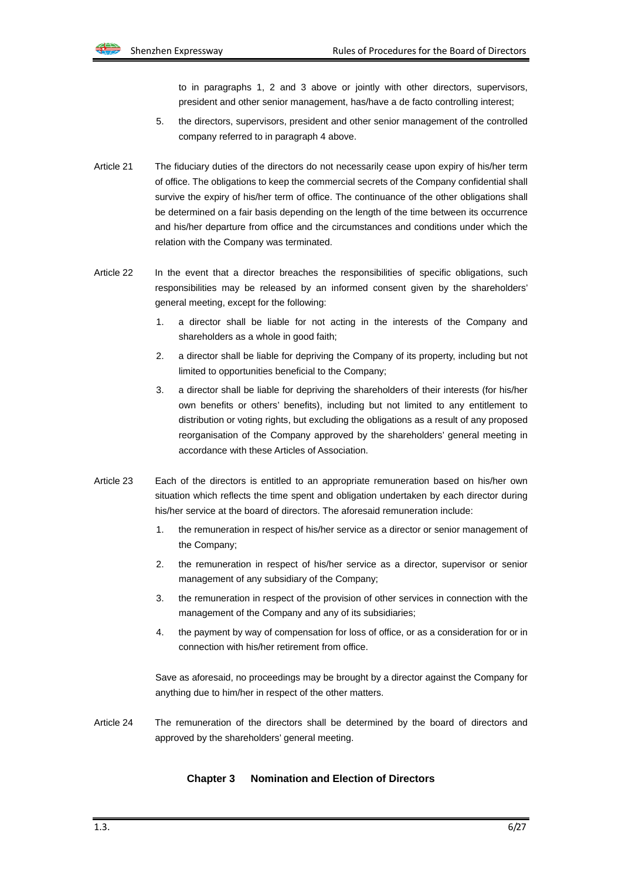

to in paragraphs 1, 2 and 3 above or jointly with other directors, supervisors, president and other senior management, has/have a de facto controlling interest;

- 5. the directors, supervisors, president and other senior management of the controlled company referred to in paragraph 4 above.
- Article 21 The fiduciary duties of the directors do not necessarily cease upon expiry of his/her term of office. The obligations to keep the commercial secrets of the Company confidential shall survive the expiry of his/her term of office. The continuance of the other obligations shall be determined on a fair basis depending on the length of the time between its occurrence and his/her departure from office and the circumstances and conditions under which the relation with the Company was terminated.
- Article 22 In the event that a director breaches the responsibilities of specific obligations, such responsibilities may be released by an informed consent given by the shareholders' general meeting, except for the following:
	- 1. a director shall be liable for not acting in the interests of the Company and shareholders as a whole in good faith;
	- 2. a director shall be liable for depriving the Company of its property, including but not limited to opportunities beneficial to the Company;
	- 3. a director shall be liable for depriving the shareholders of their interests (for his/her own benefits or others' benefits), including but not limited to any entitlement to distribution or voting rights, but excluding the obligations as a result of any proposed reorganisation of the Company approved by the shareholders' general meeting in accordance with these Articles of Association.
- Article 23 Each of the directors is entitled to an appropriate remuneration based on his/her own situation which reflects the time spent and obligation undertaken by each director during his/her service at the board of directors. The aforesaid remuneration include:
	- 1. the remuneration in respect of his/her service as a director or senior management of the Company;
	- 2. the remuneration in respect of his/her service as a director, supervisor or senior management of any subsidiary of the Company;
	- 3. the remuneration in respect of the provision of other services in connection with the management of the Company and any of its subsidiaries;
	- 4. the payment by way of compensation for loss of office, or as a consideration for or in connection with his/her retirement from office.

Save as aforesaid, no proceedings may be brought by a director against the Company for anything due to him/her in respect of the other matters.

Article 24 The remuneration of the directors shall be determined by the board of directors and approved by the shareholders' general meeting.

## **Chapter 3 Nomination and Election of Directors**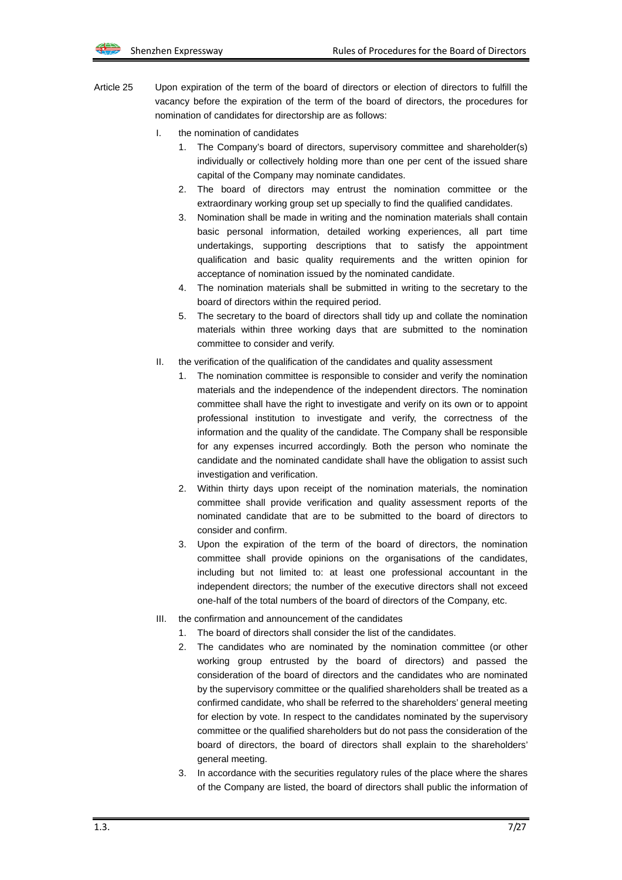- Article 25 Upon expiration of the term of the board of directors or election of directors to fulfill the vacancy before the expiration of the term of the board of directors, the procedures for nomination of candidates for directorship are as follows:
	- I. the nomination of candidates
		- 1. The Company's board of directors, supervisory committee and shareholder(s) individually or collectively holding more than one per cent of the issued share capital of the Company may nominate candidates.
		- 2. The board of directors may entrust the nomination committee or the extraordinary working group set up specially to find the qualified candidates.
		- 3. Nomination shall be made in writing and the nomination materials shall contain basic personal information, detailed working experiences, all part time undertakings, supporting descriptions that to satisfy the appointment qualification and basic quality requirements and the written opinion for acceptance of nomination issued by the nominated candidate.
		- 4. The nomination materials shall be submitted in writing to the secretary to the board of directors within the required period.
		- 5. The secretary to the board of directors shall tidy up and collate the nomination materials within three working days that are submitted to the nomination committee to consider and verify.
	- II. the verification of the qualification of the candidates and quality assessment
		- 1. The nomination committee is responsible to consider and verify the nomination materials and the independence of the independent directors. The nomination committee shall have the right to investigate and verify on its own or to appoint professional institution to investigate and verify, the correctness of the information and the quality of the candidate. The Company shall be responsible for any expenses incurred accordingly. Both the person who nominate the candidate and the nominated candidate shall have the obligation to assist such investigation and verification.
		- 2. Within thirty days upon receipt of the nomination materials, the nomination committee shall provide verification and quality assessment reports of the nominated candidate that are to be submitted to the board of directors to consider and confirm.
		- 3. Upon the expiration of the term of the board of directors, the nomination committee shall provide opinions on the organisations of the candidates, including but not limited to: at least one professional accountant in the independent directors; the number of the executive directors shall not exceed one-half of the total numbers of the board of directors of the Company, etc.
	- III. the confirmation and announcement of the candidates
		- 1. The board of directors shall consider the list of the candidates.
		- 2. The candidates who are nominated by the nomination committee (or other working group entrusted by the board of directors) and passed the consideration of the board of directors and the candidates who are nominated by the supervisory committee or the qualified shareholders shall be treated as a confirmed candidate, who shall be referred to the shareholders' general meeting for election by vote. In respect to the candidates nominated by the supervisory committee or the qualified shareholders but do not pass the consideration of the board of directors, the board of directors shall explain to the shareholders' general meeting.
		- 3. In accordance with the securities regulatory rules of the place where the shares of the Company are listed, the board of directors shall public the information of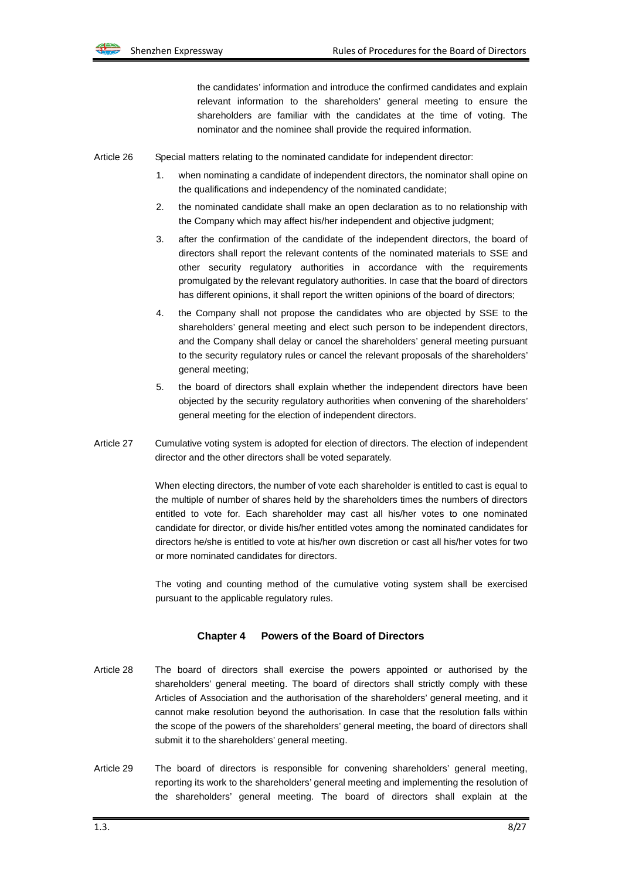

the candidates' information and introduce the confirmed candidates and explain relevant information to the shareholders' general meeting to ensure the shareholders are familiar with the candidates at the time of voting. The nominator and the nominee shall provide the required information.

Article 26 Special matters relating to the nominated candidate for independent director:

- 1. when nominating a candidate of independent directors, the nominator shall opine on the qualifications and independency of the nominated candidate;
- 2. the nominated candidate shall make an open declaration as to no relationship with the Company which may affect his/her independent and objective judgment;
- 3. after the confirmation of the candidate of the independent directors, the board of directors shall report the relevant contents of the nominated materials to SSE and other security regulatory authorities in accordance with the requirements promulgated by the relevant regulatory authorities. In case that the board of directors has different opinions, it shall report the written opinions of the board of directors;
- 4. the Company shall not propose the candidates who are objected by SSE to the shareholders' general meeting and elect such person to be independent directors, and the Company shall delay or cancel the shareholders' general meeting pursuant to the security regulatory rules or cancel the relevant proposals of the shareholders' general meeting;
- 5. the board of directors shall explain whether the independent directors have been objected by the security regulatory authorities when convening of the shareholders' general meeting for the election of independent directors.
- Article 27 Cumulative voting system is adopted for election of directors. The election of independent director and the other directors shall be voted separately.

When electing directors, the number of vote each shareholder is entitled to cast is equal to the multiple of number of shares held by the shareholders times the numbers of directors entitled to vote for. Each shareholder may cast all his/her votes to one nominated candidate for director, or divide his/her entitled votes among the nominated candidates for directors he/she is entitled to vote at his/her own discretion or cast all his/her votes for two or more nominated candidates for directors.

The voting and counting method of the cumulative voting system shall be exercised pursuant to the applicable regulatory rules.

#### **Chapter 4 Powers of the Board of Directors**

- Article 28 The board of directors shall exercise the powers appointed or authorised by the shareholders' general meeting. The board of directors shall strictly comply with these Articles of Association and the authorisation of the shareholders' general meeting, and it cannot make resolution beyond the authorisation. In case that the resolution falls within the scope of the powers of the shareholders' general meeting, the board of directors shall submit it to the shareholders' general meeting.
- Article 29 The board of directors is responsible for convening shareholders' general meeting, reporting its work to the shareholders' general meeting and implementing the resolution of the shareholders' general meeting. The board of directors shall explain at the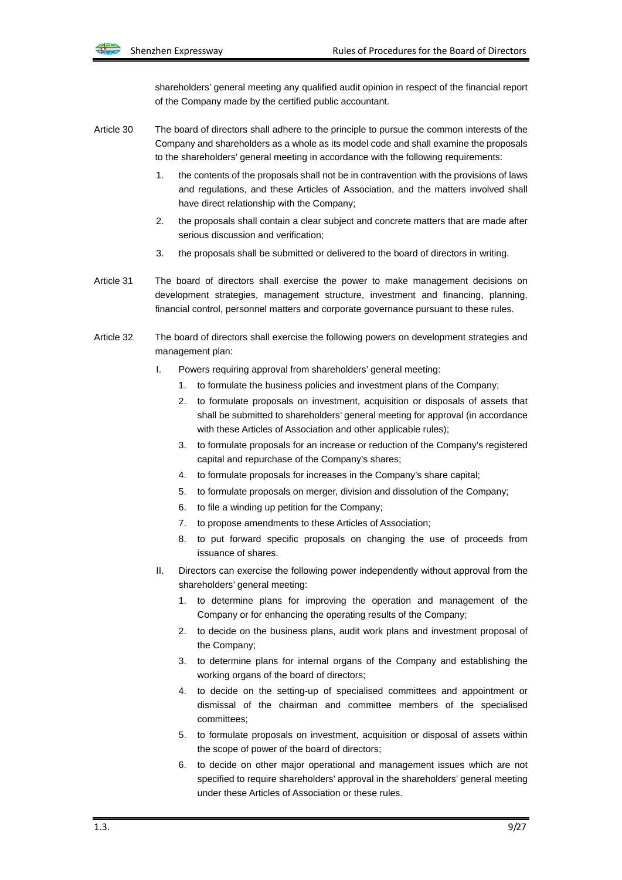shareholders' general meeting any qualified audit opinion in respect of the financial report of the Company made by the certified public accountant.

- Article 30 The board of directors shall adhere to the principle to pursue the common interests of the Company and shareholders as a whole as its model code and shall examine the proposals to the shareholders' general meeting in accordance with the following requirements:
	- 1. the contents of the proposals shall not be in contravention with the provisions of laws and regulations, and these Articles of Association, and the matters involved shall have direct relationship with the Company;
	- 2. the proposals shall contain a clear subject and concrete matters that are made after serious discussion and verification;
	- 3. the proposals shall be submitted or delivered to the board of directors in writing.
- Article 31 The board of directors shall exercise the power to make management decisions on development strategies, management structure, investment and financing, planning, financial control, personnel matters and corporate governance pursuant to these rules.
- Article 32 The board of directors shall exercise the following powers on development strategies and management plan:
	- I. Powers requiring approval from shareholders' general meeting:
		- 1. to formulate the business policies and investment plans of the Company;
		- 2. to formulate proposals on investment, acquisition or disposals of assets that shall be submitted to shareholders' general meeting for approval (in accordance with these Articles of Association and other applicable rules);
		- 3. to formulate proposals for an increase or reduction of the Company's registered capital and repurchase of the Company's shares;
		- 4. to formulate proposals for increases in the Company's share capital;
		- 5. to formulate proposals on merger, division and dissolution of the Company;
		- 6. to file a winding up petition for the Company;
		- 7. to propose amendments to these Articles of Association;
		- 8. to put forward specific proposals on changing the use of proceeds from issuance of shares.
	- II. Directors can exercise the following power independently without approval from the shareholders' general meeting:
		- 1. to determine plans for improving the operation and management of the Company or for enhancing the operating results of the Company;
		- 2. to decide on the business plans, audit work plans and investment proposal of the Company;
		- 3. to determine plans for internal organs of the Company and establishing the working organs of the board of directors;
		- 4. to decide on the setting-up of specialised committees and appointment or dismissal of the chairman and committee members of the specialised committees;
		- 5. to formulate proposals on investment, acquisition or disposal of assets within the scope of power of the board of directors;
		- 6. to decide on other major operational and management issues which are not specified to require shareholders' approval in the shareholders' general meeting under these Articles of Association or these rules.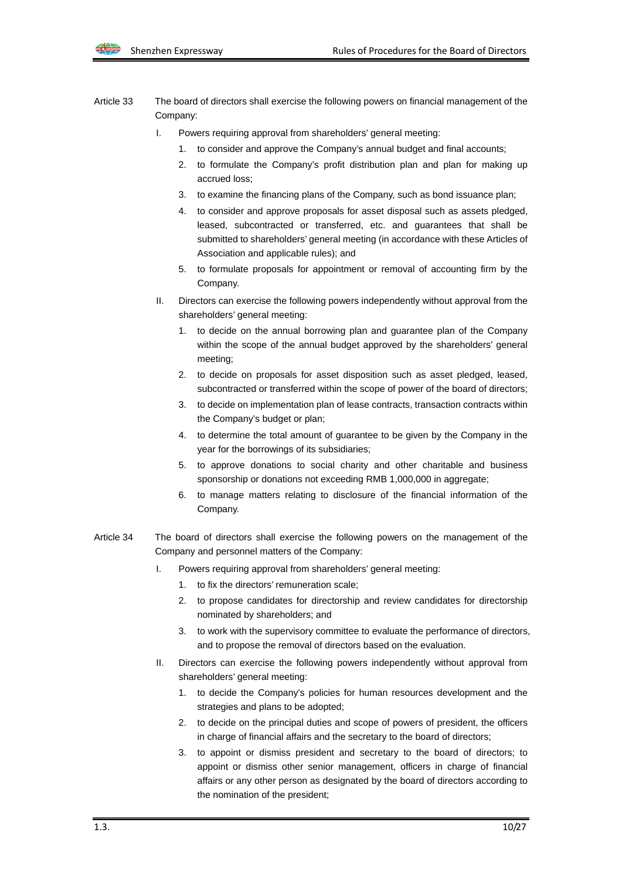- Article 33 The board of directors shall exercise the following powers on financial management of the Company:
	- I. Powers requiring approval from shareholders' general meeting:
		- 1. to consider and approve the Company's annual budget and final accounts;
		- 2. to formulate the Company's profit distribution plan and plan for making up accrued loss;
		- 3. to examine the financing plans of the Company, such as bond issuance plan;
		- 4. to consider and approve proposals for asset disposal such as assets pledged, leased, subcontracted or transferred, etc. and guarantees that shall be submitted to shareholders' general meeting (in accordance with these Articles of Association and applicable rules); and
		- 5. to formulate proposals for appointment or removal of accounting firm by the Company.
	- II. Directors can exercise the following powers independently without approval from the shareholders' general meeting:
		- to decide on the annual borrowing plan and guarantee plan of the Company within the scope of the annual budget approved by the shareholders' general meeting;
		- 2. to decide on proposals for asset disposition such as asset pledged, leased, subcontracted or transferred within the scope of power of the board of directors;
		- 3. to decide on implementation plan of lease contracts, transaction contracts within the Company's budget or plan;
		- 4. to determine the total amount of guarantee to be given by the Company in the year for the borrowings of its subsidiaries;
		- 5. to approve donations to social charity and other charitable and business sponsorship or donations not exceeding RMB 1,000,000 in aggregate;
		- 6. to manage matters relating to disclosure of the financial information of the Company.
- Article 34 The board of directors shall exercise the following powers on the management of the Company and personnel matters of the Company:
	- I. Powers requiring approval from shareholders' general meeting:
		- 1. to fix the directors' remuneration scale;
		- 2. to propose candidates for directorship and review candidates for directorship nominated by shareholders; and
		- 3. to work with the supervisory committee to evaluate the performance of directors, and to propose the removal of directors based on the evaluation.
	- II. Directors can exercise the following powers independently without approval from shareholders' general meeting:
		- 1. to decide the Company's policies for human resources development and the strategies and plans to be adopted;
		- 2. to decide on the principal duties and scope of powers of president, the officers in charge of financial affairs and the secretary to the board of directors;
		- 3. to appoint or dismiss president and secretary to the board of directors; to appoint or dismiss other senior management, officers in charge of financial affairs or any other person as designated by the board of directors according to the nomination of the president;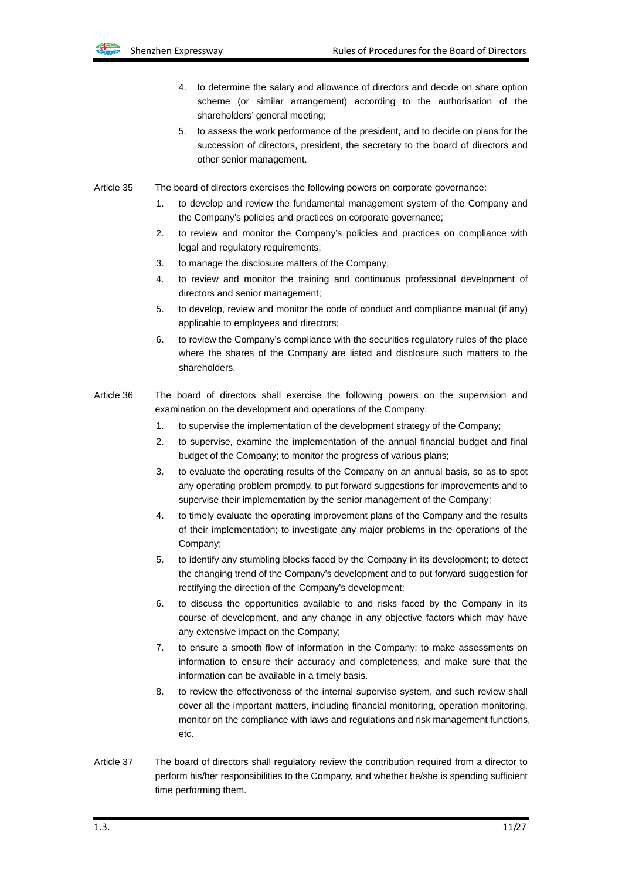

- 4. to determine the salary and allowance of directors and decide on share option scheme (or similar arrangement) according to the authorisation of the shareholders' general meeting;
- 5. to assess the work performance of the president, and to decide on plans for the succession of directors, president, the secretary to the board of directors and other senior management.
- Article 35 The board of directors exercises the following powers on corporate governance:
	- 1. to develop and review the fundamental management system of the Company and the Company's policies and practices on corporate governance;
	- 2. to review and monitor the Company's policies and practices on compliance with legal and regulatory requirements;
	- 3. to manage the disclosure matters of the Company;
	- 4. to review and monitor the training and continuous professional development of directors and senior management;
	- 5. to develop, review and monitor the code of conduct and compliance manual (if any) applicable to employees and directors;
	- 6. to review the Company's compliance with the securities regulatory rules of the place where the shares of the Company are listed and disclosure such matters to the shareholders.
- Article 36 The board of directors shall exercise the following powers on the supervision and examination on the development and operations of the Company:
	- 1. to supervise the implementation of the development strategy of the Company;
	- 2. to supervise, examine the implementation of the annual financial budget and final budget of the Company; to monitor the progress of various plans;
	- 3. to evaluate the operating results of the Company on an annual basis, so as to spot any operating problem promptly, to put forward suggestions for improvements and to supervise their implementation by the senior management of the Company;
	- 4. to timely evaluate the operating improvement plans of the Company and the results of their implementation; to investigate any major problems in the operations of the Company;
	- 5. to identify any stumbling blocks faced by the Company in its development; to detect the changing trend of the Company's development and to put forward suggestion for rectifying the direction of the Company's development;
	- 6. to discuss the opportunities available to and risks faced by the Company in its course of development, and any change in any objective factors which may have any extensive impact on the Company;
	- 7. to ensure a smooth flow of information in the Company; to make assessments on information to ensure their accuracy and completeness, and make sure that the information can be available in a timely basis.
	- 8. to review the effectiveness of the internal supervise system, and such review shall cover all the important matters, including financial monitoring, operation monitoring, monitor on the compliance with laws and regulations and risk management functions, etc.
- Article 37 The board of directors shall regulatory review the contribution required from a director to perform his/her responsibilities to the Company, and whether he/she is spending sufficient time performing them.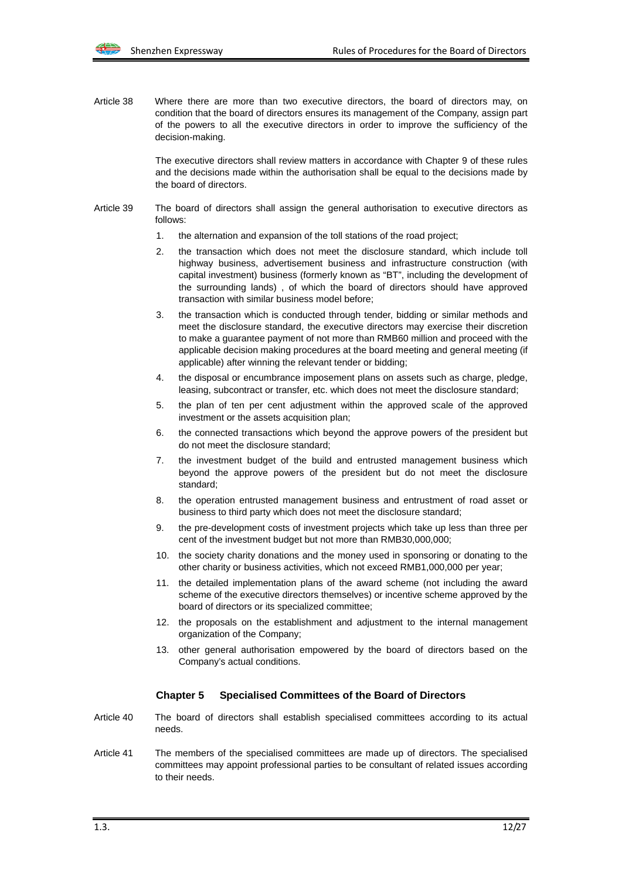Article 38 Where there are more than two executive directors, the board of directors may, on condition that the board of directors ensures its management of the Company, assign part of the powers to all the executive directors in order to improve the sufficiency of the decision-making.

> The executive directors shall review matters in accordance with Chapter 9 of these rules and the decisions made within the authorisation shall be equal to the decisions made by the board of directors.

- Article 39 The board of directors shall assign the general authorisation to executive directors as follows:
	- 1. the alternation and expansion of the toll stations of the road project;
	- 2. the transaction which does not meet the disclosure standard, which include toll highway business, advertisement business and infrastructure construction (with capital investment) business (formerly known as "BT", including the development of the surrounding lands) , of which the board of directors should have approved transaction with similar business model before;
	- 3. the transaction which is conducted through tender, bidding or similar methods and meet the disclosure standard, the executive directors may exercise their discretion to make a guarantee payment of not more than RMB60 million and proceed with the applicable decision making procedures at the board meeting and general meeting (if applicable) after winning the relevant tender or bidding;
	- 4. the disposal or encumbrance imposement plans on assets such as charge, pledge, leasing, subcontract or transfer, etc. which does not meet the disclosure standard;
	- 5. the plan of ten per cent adjustment within the approved scale of the approved investment or the assets acquisition plan;
	- 6. the connected transactions which beyond the approve powers of the president but do not meet the disclosure standard;
	- 7. the investment budget of the build and entrusted management business which beyond the approve powers of the president but do not meet the disclosure standard;
	- 8. the operation entrusted management business and entrustment of road asset or business to third party which does not meet the disclosure standard;
	- 9. the pre-development costs of investment projects which take up less than three per cent of the investment budget but not more than RMB30,000,000;
	- 10. the society charity donations and the money used in sponsoring or donating to the other charity or business activities, which not exceed RMB1,000,000 per year;
	- 11. the detailed implementation plans of the award scheme (not including the award scheme of the executive directors themselves) or incentive scheme approved by the board of directors or its specialized committee;
	- 12. the proposals on the establishment and adjustment to the internal management organization of the Company;
	- 13. other general authorisation empowered by the board of directors based on the Company's actual conditions.

#### **Chapter 5 Specialised Committees of the Board of Directors**

- Article 40 The board of directors shall establish specialised committees according to its actual needs.
- Article 41 The members of the specialised committees are made up of directors. The specialised committees may appoint professional parties to be consultant of related issues according to their needs.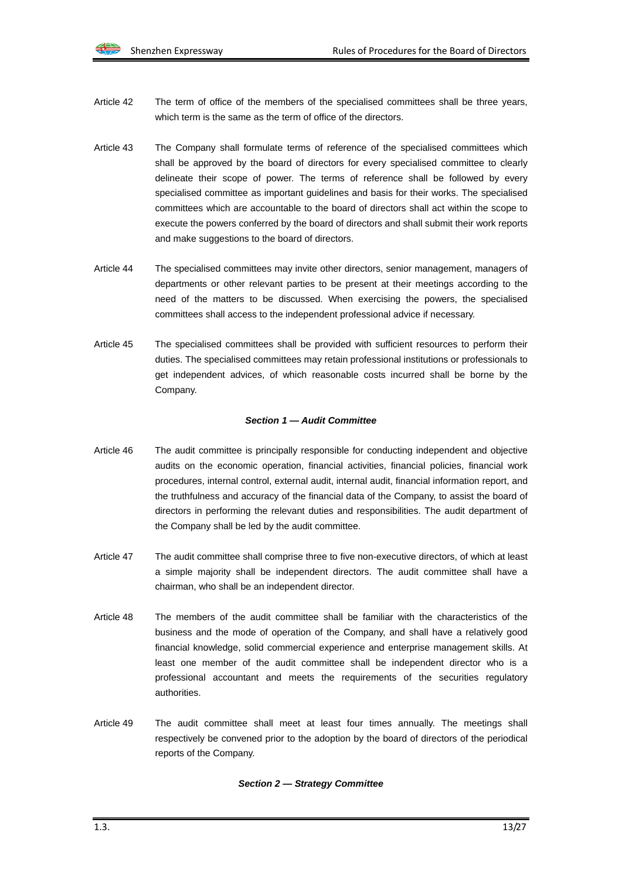- Article 42 The term of office of the members of the specialised committees shall be three years, which term is the same as the term of office of the directors.
- Article 43 The Company shall formulate terms of reference of the specialised committees which shall be approved by the board of directors for every specialised committee to clearly delineate their scope of power. The terms of reference shall be followed by every specialised committee as important guidelines and basis for their works. The specialised committees which are accountable to the board of directors shall act within the scope to execute the powers conferred by the board of directors and shall submit their work reports and make suggestions to the board of directors.
- Article 44 The specialised committees may invite other directors, senior management, managers of departments or other relevant parties to be present at their meetings according to the need of the matters to be discussed. When exercising the powers, the specialised committees shall access to the independent professional advice if necessary.
- Article 45 The specialised committees shall be provided with sufficient resources to perform their duties. The specialised committees may retain professional institutions or professionals to get independent advices, of which reasonable costs incurred shall be borne by the Company.

## *Section 1 — Audit Committee*

- Article 46 The audit committee is principally responsible for conducting independent and objective audits on the economic operation, financial activities, financial policies, financial work procedures, internal control, external audit, internal audit, financial information report, and the truthfulness and accuracy of the financial data of the Company, to assist the board of directors in performing the relevant duties and responsibilities. The audit department of the Company shall be led by the audit committee.
- Article 47 The audit committee shall comprise three to five non-executive directors, of which at least a simple majority shall be independent directors. The audit committee shall have a chairman, who shall be an independent director.
- Article 48 The members of the audit committee shall be familiar with the characteristics of the business and the mode of operation of the Company, and shall have a relatively good financial knowledge, solid commercial experience and enterprise management skills. At least one member of the audit committee shall be independent director who is a professional accountant and meets the requirements of the securities regulatory authorities.
- Article 49 The audit committee shall meet at least four times annually. The meetings shall respectively be convened prior to the adoption by the board of directors of the periodical reports of the Company.

#### *Section 2 — Strategy Committee*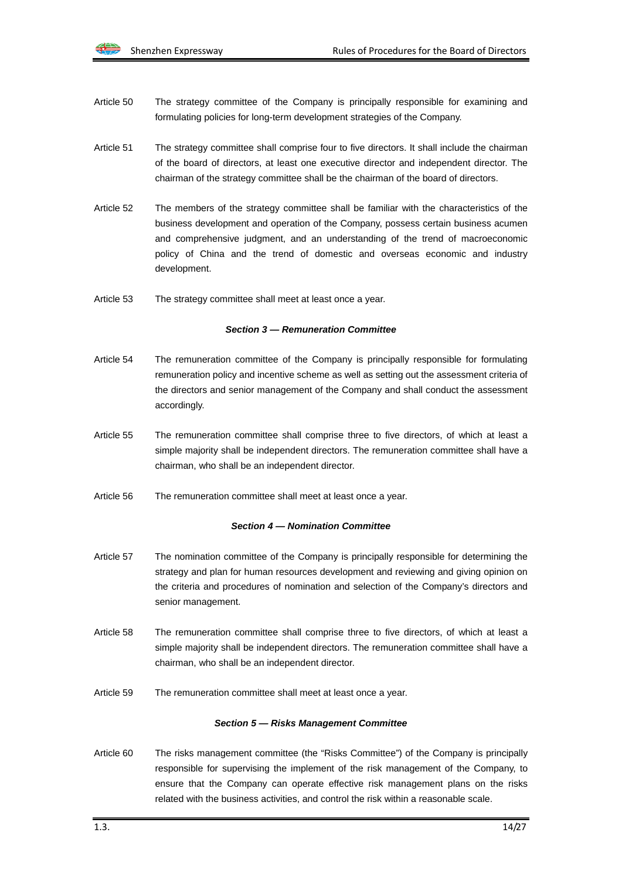- Article 50 The strategy committee of the Company is principally responsible for examining and formulating policies for long-term development strategies of the Company.
- Article 51 The strategy committee shall comprise four to five directors. It shall include the chairman of the board of directors, at least one executive director and independent director. The chairman of the strategy committee shall be the chairman of the board of directors.
- Article 52 The members of the strategy committee shall be familiar with the characteristics of the business development and operation of the Company, possess certain business acumen and comprehensive judgment, and an understanding of the trend of macroeconomic policy of China and the trend of domestic and overseas economic and industry development.
- Article 53 The strategy committee shall meet at least once a year.

#### *Section 3 — Remuneration Committee*

- Article 54 The remuneration committee of the Company is principally responsible for formulating remuneration policy and incentive scheme as well as setting out the assessment criteria of the directors and senior management of the Company and shall conduct the assessment accordingly.
- Article 55 The remuneration committee shall comprise three to five directors, of which at least a simple majority shall be independent directors. The remuneration committee shall have a chairman, who shall be an independent director.
- Article 56 The remuneration committee shall meet at least once a year.

#### *Section 4 — Nomination Committee*

- Article 57 The nomination committee of the Company is principally responsible for determining the strategy and plan for human resources development and reviewing and giving opinion on the criteria and procedures of nomination and selection of the Company's directors and senior management.
- Article 58 The remuneration committee shall comprise three to five directors, of which at least a simple majority shall be independent directors. The remuneration committee shall have a chairman, who shall be an independent director.
- Article 59 The remuneration committee shall meet at least once a year.

#### *Section 5 — Risks Management Committee*

Article 60 The risks management committee (the "Risks Committee") of the Company is principally responsible for supervising the implement of the risk management of the Company, to ensure that the Company can operate effective risk management plans on the risks related with the business activities, and control the risk within a reasonable scale.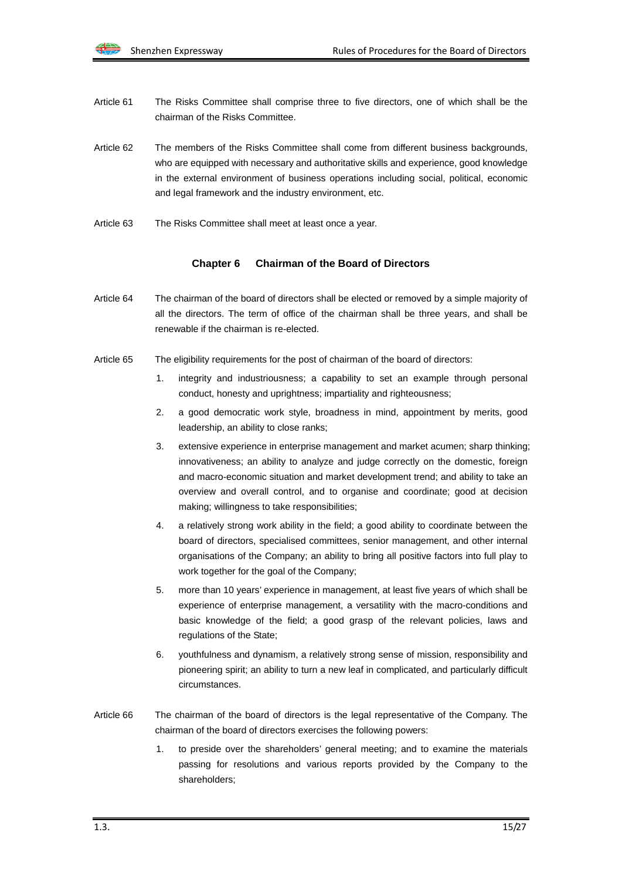- Article 61 The Risks Committee shall comprise three to five directors, one of which shall be the chairman of the Risks Committee.
- Article 62 The members of the Risks Committee shall come from different business backgrounds, who are equipped with necessary and authoritative skills and experience, good knowledge in the external environment of business operations including social, political, economic and legal framework and the industry environment, etc.
- Article 63 The Risks Committee shall meet at least once a year.

#### **Chapter 6 Chairman of the Board of Directors**

- Article 64 The chairman of the board of directors shall be elected or removed by a simple majority of all the directors. The term of office of the chairman shall be three years, and shall be renewable if the chairman is re-elected.
- Article 65 The eligibility requirements for the post of chairman of the board of directors:
	- 1. integrity and industriousness; a capability to set an example through personal conduct, honesty and uprightness; impartiality and righteousness;
	- 2. a good democratic work style, broadness in mind, appointment by merits, good leadership, an ability to close ranks;
	- 3. extensive experience in enterprise management and market acumen; sharp thinking; innovativeness; an ability to analyze and judge correctly on the domestic, foreign and macro-economic situation and market development trend; and ability to take an overview and overall control, and to organise and coordinate; good at decision making; willingness to take responsibilities;
	- 4. a relatively strong work ability in the field; a good ability to coordinate between the board of directors, specialised committees, senior management, and other internal organisations of the Company; an ability to bring all positive factors into full play to work together for the goal of the Company;
	- 5. more than 10 years' experience in management, at least five years of which shall be experience of enterprise management, a versatility with the macro-conditions and basic knowledge of the field; a good grasp of the relevant policies, laws and regulations of the State;
	- 6. youthfulness and dynamism, a relatively strong sense of mission, responsibility and pioneering spirit; an ability to turn a new leaf in complicated, and particularly difficult circumstances.
- Article 66 The chairman of the board of directors is the legal representative of the Company. The chairman of the board of directors exercises the following powers:
	- 1. to preside over the shareholders' general meeting; and to examine the materials passing for resolutions and various reports provided by the Company to the shareholders;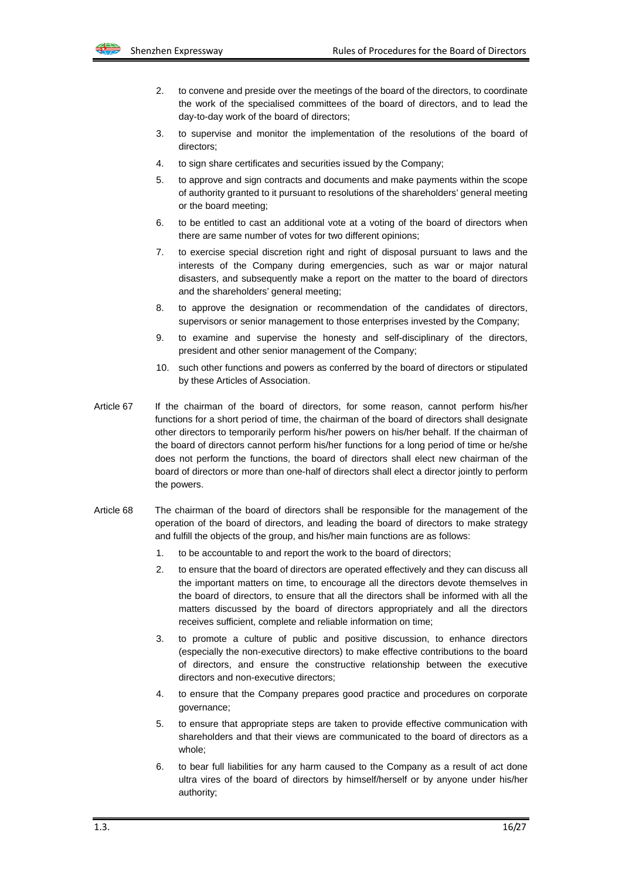

- 2. to convene and preside over the meetings of the board of the directors, to coordinate the work of the specialised committees of the board of directors, and to lead the day-to-day work of the board of directors;
- 3. to supervise and monitor the implementation of the resolutions of the board of directors;
- 4. to sign share certificates and securities issued by the Company;
- 5. to approve and sign contracts and documents and make payments within the scope of authority granted to it pursuant to resolutions of the shareholders' general meeting or the board meeting;
- 6. to be entitled to cast an additional vote at a voting of the board of directors when there are same number of votes for two different opinions;
- 7. to exercise special discretion right and right of disposal pursuant to laws and the interests of the Company during emergencies, such as war or major natural disasters, and subsequently make a report on the matter to the board of directors and the shareholders' general meeting;
- 8. to approve the designation or recommendation of the candidates of directors, supervisors or senior management to those enterprises invested by the Company;
- 9. to examine and supervise the honesty and self-disciplinary of the directors, president and other senior management of the Company;
- 10. such other functions and powers as conferred by the board of directors or stipulated by these Articles of Association.
- Article 67 If the chairman of the board of directors, for some reason, cannot perform his/her functions for a short period of time, the chairman of the board of directors shall designate other directors to temporarily perform his/her powers on his/her behalf. If the chairman of the board of directors cannot perform his/her functions for a long period of time or he/she does not perform the functions, the board of directors shall elect new chairman of the board of directors or more than one-half of directors shall elect a director jointly to perform the powers.
- Article 68 The chairman of the board of directors shall be responsible for the management of the operation of the board of directors, and leading the board of directors to make strategy and fulfill the objects of the group, and his/her main functions are as follows:
	- 1. to be accountable to and report the work to the board of directors;
	- 2. to ensure that the board of directors are operated effectively and they can discuss all the important matters on time, to encourage all the directors devote themselves in the board of directors, to ensure that all the directors shall be informed with all the matters discussed by the board of directors appropriately and all the directors receives sufficient, complete and reliable information on time;
	- 3. to promote a culture of public and positive discussion, to enhance directors (especially the non-executive directors) to make effective contributions to the board of directors, and ensure the constructive relationship between the executive directors and non-executive directors;
	- 4. to ensure that the Company prepares good practice and procedures on corporate governance;
	- 5. to ensure that appropriate steps are taken to provide effective communication with shareholders and that their views are communicated to the board of directors as a whole;
	- 6. to bear full liabilities for any harm caused to the Company as a result of act done ultra vires of the board of directors by himself/herself or by anyone under his/her authority;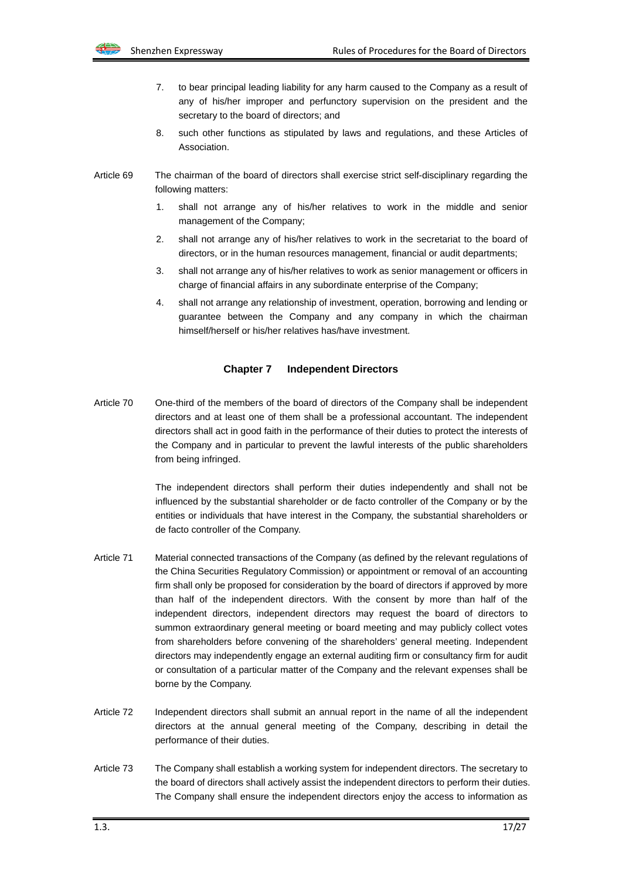

- 7. to bear principal leading liability for any harm caused to the Company as a result of any of his/her improper and perfunctory supervision on the president and the secretary to the board of directors; and
- 8. such other functions as stipulated by laws and regulations, and these Articles of Association.
- Article 69 The chairman of the board of directors shall exercise strict self-disciplinary regarding the following matters:
	- 1. shall not arrange any of his/her relatives to work in the middle and senior management of the Company;
	- 2. shall not arrange any of his/her relatives to work in the secretariat to the board of directors, or in the human resources management, financial or audit departments;
	- 3. shall not arrange any of his/her relatives to work as senior management or officers in charge of financial affairs in any subordinate enterprise of the Company;
	- 4. shall not arrange any relationship of investment, operation, borrowing and lending or guarantee between the Company and any company in which the chairman himself/herself or his/her relatives has/have investment.

### **Chapter 7 Independent Directors**

Article 70 One-third of the members of the board of directors of the Company shall be independent directors and at least one of them shall be a professional accountant. The independent directors shall act in good faith in the performance of their duties to protect the interests of the Company and in particular to prevent the lawful interests of the public shareholders from being infringed.

> The independent directors shall perform their duties independently and shall not be influenced by the substantial shareholder or de facto controller of the Company or by the entities or individuals that have interest in the Company, the substantial shareholders or de facto controller of the Company.

- Article 71 Material connected transactions of the Company (as defined by the relevant regulations of the China Securities Regulatory Commission) or appointment or removal of an accounting firm shall only be proposed for consideration by the board of directors if approved by more than half of the independent directors. With the consent by more than half of the independent directors, independent directors may request the board of directors to summon extraordinary general meeting or board meeting and may publicly collect votes from shareholders before convening of the shareholders' general meeting. Independent directors may independently engage an external auditing firm or consultancy firm for audit or consultation of a particular matter of the Company and the relevant expenses shall be borne by the Company.
- Article 72 Independent directors shall submit an annual report in the name of all the independent directors at the annual general meeting of the Company, describing in detail the performance of their duties.
- Article 73 The Company shall establish a working system for independent directors. The secretary to the board of directors shall actively assist the independent directors to perform their duties. The Company shall ensure the independent directors enjoy the access to information as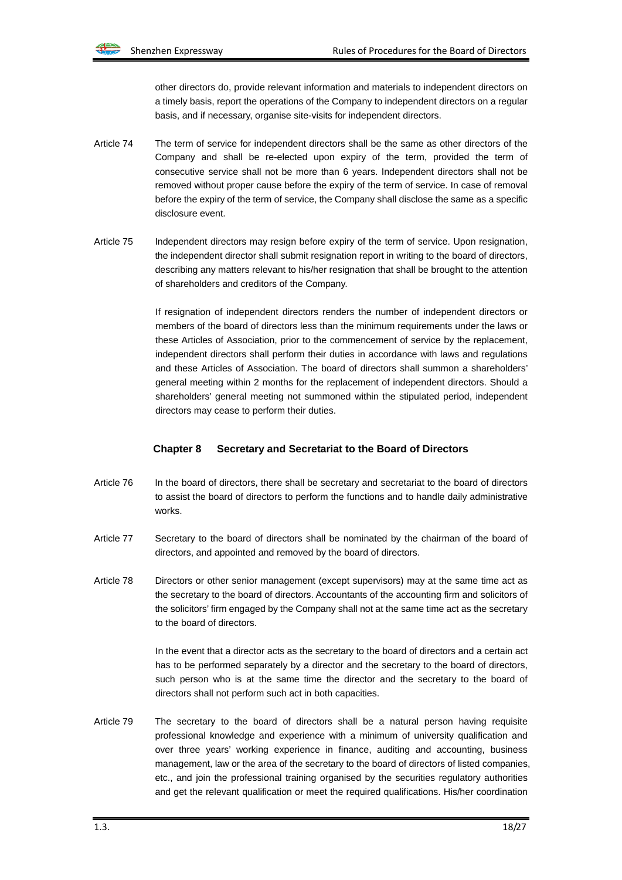other directors do, provide relevant information and materials to independent directors on a timely basis, report the operations of the Company to independent directors on a regular basis, and if necessary, organise site-visits for independent directors.

- Article 74 The term of service for independent directors shall be the same as other directors of the Company and shall be re-elected upon expiry of the term, provided the term of consecutive service shall not be more than 6 years. Independent directors shall not be removed without proper cause before the expiry of the term of service. In case of removal before the expiry of the term of service, the Company shall disclose the same as a specific disclosure event.
- Article 75 Independent directors may resign before expiry of the term of service. Upon resignation, the independent director shall submit resignation report in writing to the board of directors, describing any matters relevant to his/her resignation that shall be brought to the attention of shareholders and creditors of the Company.

If resignation of independent directors renders the number of independent directors or members of the board of directors less than the minimum requirements under the laws or these Articles of Association, prior to the commencement of service by the replacement, independent directors shall perform their duties in accordance with laws and regulations and these Articles of Association. The board of directors shall summon a shareholders' general meeting within 2 months for the replacement of independent directors. Should a shareholders' general meeting not summoned within the stipulated period, independent directors may cease to perform their duties.

#### **Chapter 8 Secretary and Secretariat to the Board of Directors**

- Article 76 In the board of directors, there shall be secretary and secretariat to the board of directors to assist the board of directors to perform the functions and to handle daily administrative works.
- Article 77 Secretary to the board of directors shall be nominated by the chairman of the board of directors, and appointed and removed by the board of directors.
- Article 78 Directors or other senior management (except supervisors) may at the same time act as the secretary to the board of directors. Accountants of the accounting firm and solicitors of the solicitors' firm engaged by the Company shall not at the same time act as the secretary to the board of directors.

In the event that a director acts as the secretary to the board of directors and a certain act has to be performed separately by a director and the secretary to the board of directors, such person who is at the same time the director and the secretary to the board of directors shall not perform such act in both capacities.

Article 79 The secretary to the board of directors shall be a natural person having requisite professional knowledge and experience with a minimum of university qualification and over three years' working experience in finance, auditing and accounting, business management, law or the area of the secretary to the board of directors of listed companies, etc., and join the professional training organised by the securities regulatory authorities and get the relevant qualification or meet the required qualifications. His/her coordination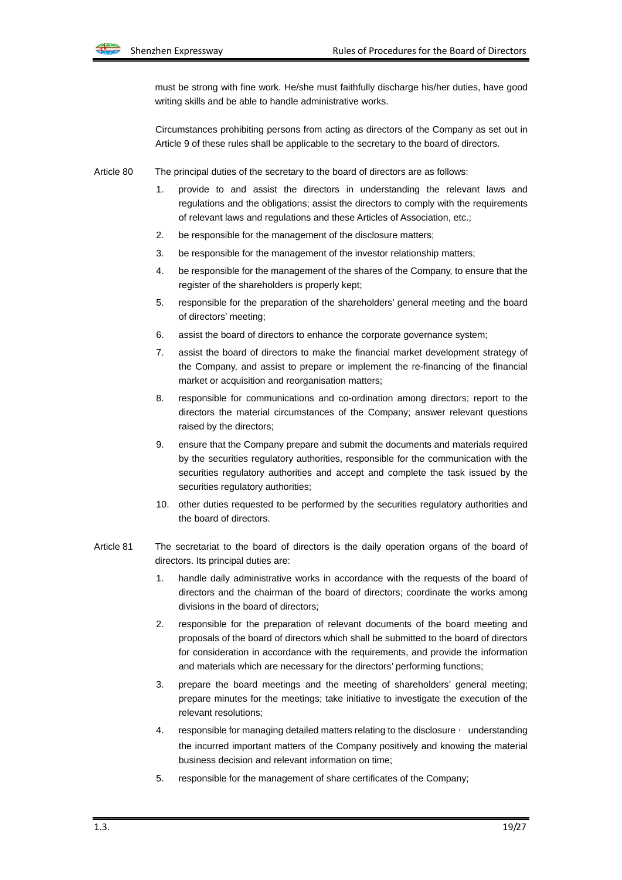must be strong with fine work. He/she must faithfully discharge his/her duties, have good writing skills and be able to handle administrative works.

Circumstances prohibiting persons from acting as directors of the Company as set out in Article 9 of these rules shall be applicable to the secretary to the board of directors.

Article 80 The principal duties of the secretary to the board of directors are as follows:

- 1. provide to and assist the directors in understanding the relevant laws and regulations and the obligations; assist the directors to comply with the requirements of relevant laws and regulations and these Articles of Association, etc.;
- 2. be responsible for the management of the disclosure matters;
- 3. be responsible for the management of the investor relationship matters;
- 4. be responsible for the management of the shares of the Company, to ensure that the register of the shareholders is properly kept;
- 5. responsible for the preparation of the shareholders' general meeting and the board of directors' meeting;
- 6. assist the board of directors to enhance the corporate governance system;
- 7. assist the board of directors to make the financial market development strategy of the Company, and assist to prepare or implement the re-financing of the financial market or acquisition and reorganisation matters;
- 8. responsible for communications and co-ordination among directors; report to the directors the material circumstances of the Company; answer relevant questions raised by the directors;
- 9. ensure that the Company prepare and submit the documents and materials required by the securities regulatory authorities, responsible for the communication with the securities regulatory authorities and accept and complete the task issued by the securities regulatory authorities;
- 10. other duties requested to be performed by the securities regulatory authorities and the board of directors.
- Article 81 The secretariat to the board of directors is the daily operation organs of the board of directors. Its principal duties are:
	- 1. handle daily administrative works in accordance with the requests of the board of directors and the chairman of the board of directors; coordinate the works among divisions in the board of directors;
	- 2. responsible for the preparation of relevant documents of the board meeting and proposals of the board of directors which shall be submitted to the board of directors for consideration in accordance with the requirements, and provide the information and materials which are necessary for the directors' performing functions;
	- 3. prepare the board meetings and the meeting of shareholders' general meeting; prepare minutes for the meetings; take initiative to investigate the execution of the relevant resolutions;
	- 4. responsible for managing detailed matters relating to the disclosure, understanding the incurred important matters of the Company positively and knowing the material business decision and relevant information on time;
	- 5. responsible for the management of share certificates of the Company;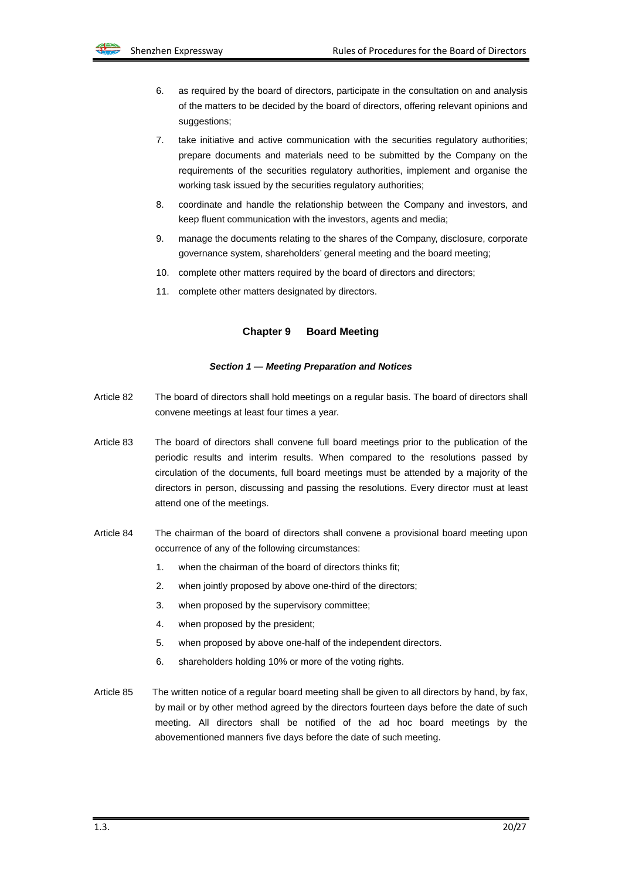- 6. as required by the board of directors, participate in the consultation on and analysis of the matters to be decided by the board of directors, offering relevant opinions and suggestions;
- 7. take initiative and active communication with the securities regulatory authorities; prepare documents and materials need to be submitted by the Company on the requirements of the securities regulatory authorities, implement and organise the working task issued by the securities regulatory authorities;
- 8. coordinate and handle the relationship between the Company and investors, and keep fluent communication with the investors, agents and media;
- 9. manage the documents relating to the shares of the Company, disclosure, corporate governance system, shareholders' general meeting and the board meeting;
- 10. complete other matters required by the board of directors and directors;
- 11. complete other matters designated by directors.

#### **Chapter 9 Board Meeting**

#### *Section 1 — Meeting Preparation and Notices*

- Article 82 The board of directors shall hold meetings on a regular basis. The board of directors shall convene meetings at least four times a year.
- Article 83 The board of directors shall convene full board meetings prior to the publication of the periodic results and interim results. When compared to the resolutions passed by circulation of the documents, full board meetings must be attended by a majority of the directors in person, discussing and passing the resolutions. Every director must at least attend one of the meetings.
- Article 84 The chairman of the board of directors shall convene a provisional board meeting upon occurrence of any of the following circumstances:
	- 1. when the chairman of the board of directors thinks fit;
	- 2. when jointly proposed by above one-third of the directors;
	- 3. when proposed by the supervisory committee;
	- 4. when proposed by the president;
	- 5. when proposed by above one-half of the independent directors.
	- 6. shareholders holding 10% or more of the voting rights.
- Article 85 The written notice of a regular board meeting shall be given to all directors by hand, by fax, by mail or by other method agreed by the directors fourteen days before the date of such meeting. All directors shall be notified of the ad hoc board meetings by the abovementioned manners five days before the date of such meeting.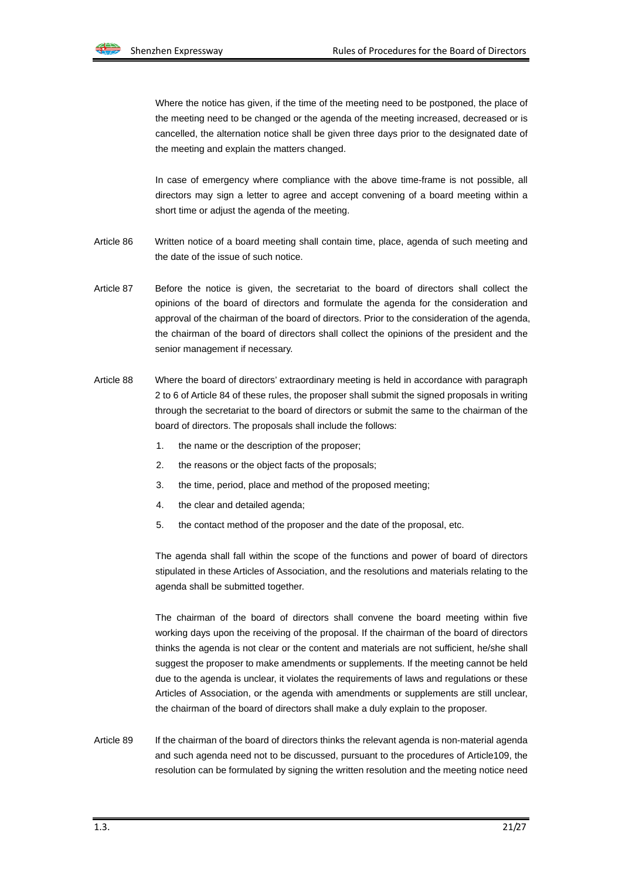Where the notice has given, if the time of the meeting need to be postponed, the place of the meeting need to be changed or the agenda of the meeting increased, decreased or is cancelled, the alternation notice shall be given three days prior to the designated date of the meeting and explain the matters changed.

In case of emergency where compliance with the above time-frame is not possible, all directors may sign a letter to agree and accept convening of a board meeting within a short time or adjust the agenda of the meeting.

- Article 86 Written notice of a board meeting shall contain time, place, agenda of such meeting and the date of the issue of such notice.
- Article 87 Before the notice is given, the secretariat to the board of directors shall collect the opinions of the board of directors and formulate the agenda for the consideration and approval of the chairman of the board of directors. Prior to the consideration of the agenda, the chairman of the board of directors shall collect the opinions of the president and the senior management if necessary.
- Article 88 Where the board of directors' extraordinary meeting is held in accordance with paragraph 2 to 6 of Article 84 of these rules, the proposer shall submit the signed proposals in writing through the secretariat to the board of directors or submit the same to the chairman of the board of directors. The proposals shall include the follows:
	- 1. the name or the description of the proposer;
	- 2. the reasons or the object facts of the proposals;
	- 3. the time, period, place and method of the proposed meeting;
	- 4. the clear and detailed agenda;
	- 5. the contact method of the proposer and the date of the proposal, etc.

The agenda shall fall within the scope of the functions and power of board of directors stipulated in these Articles of Association, and the resolutions and materials relating to the agenda shall be submitted together.

The chairman of the board of directors shall convene the board meeting within five working days upon the receiving of the proposal. If the chairman of the board of directors thinks the agenda is not clear or the content and materials are not sufficient, he/she shall suggest the proposer to make amendments or supplements. If the meeting cannot be held due to the agenda is unclear, it violates the requirements of laws and regulations or these Articles of Association, or the agenda with amendments or supplements are still unclear, the chairman of the board of directors shall make a duly explain to the proposer.

Article 89 If the chairman of the board of directors thinks the relevant agenda is non-material agenda and such agenda need not to be discussed, pursuant to the procedures of Article109, the resolution can be formulated by signing the written resolution and the meeting notice need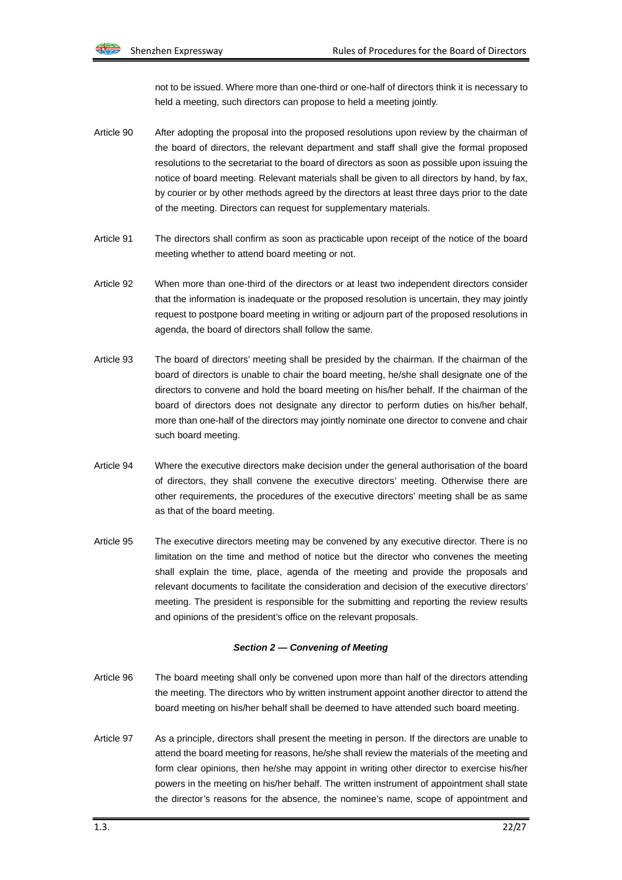not to be issued. Where more than one-third or one-half of directors think it is necessary to held a meeting, such directors can propose to held a meeting jointly.

- Article 90 After adopting the proposal into the proposed resolutions upon review by the chairman of the board of directors, the relevant department and staff shall give the formal proposed resolutions to the secretariat to the board of directors as soon as possible upon issuing the notice of board meeting. Relevant materials shall be given to all directors by hand, by fax, by courier or by other methods agreed by the directors at least three days prior to the date of the meeting. Directors can request for supplementary materials.
- Article 91 The directors shall confirm as soon as practicable upon receipt of the notice of the board meeting whether to attend board meeting or not.
- Article 92 When more than one-third of the directors or at least two independent directors consider that the information is inadequate or the proposed resolution is uncertain, they may jointly request to postpone board meeting in writing or adjourn part of the proposed resolutions in agenda, the board of directors shall follow the same.
- Article 93 The board of directors' meeting shall be presided by the chairman. If the chairman of the board of directors is unable to chair the board meeting, he/she shall designate one of the directors to convene and hold the board meeting on his/her behalf. If the chairman of the board of directors does not designate any director to perform duties on his/her behalf, more than one-half of the directors may jointly nominate one director to convene and chair such board meeting.
- Article 94 Where the executive directors make decision under the general authorisation of the board of directors, they shall convene the executive directors' meeting. Otherwise there are other requirements, the procedures of the executive directors' meeting shall be as same as that of the board meeting.
- Article 95 The executive directors meeting may be convened by any executive director. There is no limitation on the time and method of notice but the director who convenes the meeting shall explain the time, place, agenda of the meeting and provide the proposals and relevant documents to facilitate the consideration and decision of the executive directors' meeting. The president is responsible for the submitting and reporting the review results and opinions of the president's office on the relevant proposals.

#### *Section 2 — Convening of Meeting*

- Article 96 The board meeting shall only be convened upon more than half of the directors attending the meeting. The directors who by written instrument appoint another director to attend the board meeting on his/her behalf shall be deemed to have attended such board meeting.
- Article 97 As a principle, directors shall present the meeting in person. If the directors are unable to attend the board meeting for reasons, he/she shall review the materials of the meeting and form clear opinions, then he/she may appoint in writing other director to exercise his/her powers in the meeting on his/her behalf. The written instrument of appointment shall state the director's reasons for the absence, the nominee's name, scope of appointment and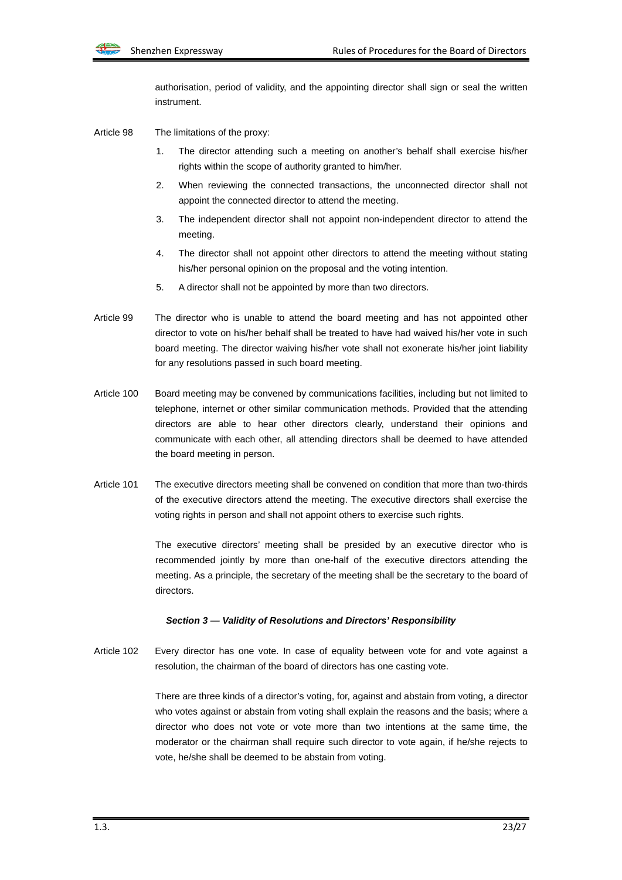

authorisation, period of validity, and the appointing director shall sign or seal the written instrument.

- Article 98 The limitations of the proxy:
	- 1. The director attending such a meeting on another's behalf shall exercise his/her rights within the scope of authority granted to him/her.
	- 2. When reviewing the connected transactions, the unconnected director shall not appoint the connected director to attend the meeting.
	- 3. The independent director shall not appoint non-independent director to attend the meeting.
	- 4. The director shall not appoint other directors to attend the meeting without stating his/her personal opinion on the proposal and the voting intention.
	- 5. A director shall not be appointed by more than two directors.
- Article 99 The director who is unable to attend the board meeting and has not appointed other director to vote on his/her behalf shall be treated to have had waived his/her vote in such board meeting. The director waiving his/her vote shall not exonerate his/her joint liability for any resolutions passed in such board meeting.
- Article 100 Board meeting may be convened by communications facilities, including but not limited to telephone, internet or other similar communication methods. Provided that the attending directors are able to hear other directors clearly, understand their opinions and communicate with each other, all attending directors shall be deemed to have attended the board meeting in person.
- Article 101 The executive directors meeting shall be convened on condition that more than two-thirds of the executive directors attend the meeting. The executive directors shall exercise the voting rights in person and shall not appoint others to exercise such rights.

The executive directors' meeting shall be presided by an executive director who is recommended jointly by more than one-half of the executive directors attending the meeting. As a principle, the secretary of the meeting shall be the secretary to the board of directors.

#### *Section 3 — Validity of Resolutions and Directors' Responsibility*

Article 102 Every director has one vote. In case of equality between vote for and vote against a resolution, the chairman of the board of directors has one casting vote.

> There are three kinds of a director's voting, for, against and abstain from voting, a director who votes against or abstain from voting shall explain the reasons and the basis; where a director who does not vote or vote more than two intentions at the same time, the moderator or the chairman shall require such director to vote again, if he/she rejects to vote, he/she shall be deemed to be abstain from voting.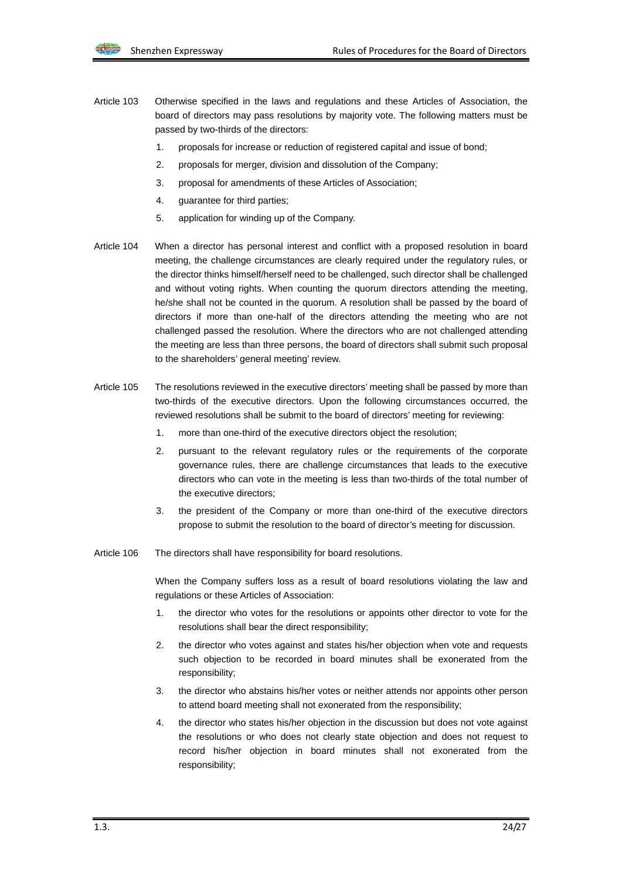- Article 103 Otherwise specified in the laws and regulations and these Articles of Association, the board of directors may pass resolutions by majority vote. The following matters must be passed by two-thirds of the directors:
	- 1. proposals for increase or reduction of registered capital and issue of bond;
	- 2. proposals for merger, division and dissolution of the Company;
	- 3. proposal for amendments of these Articles of Association;
	- 4. guarantee for third parties;
	- 5. application for winding up of the Company.
- Article 104 When a director has personal interest and conflict with a proposed resolution in board meeting, the challenge circumstances are clearly required under the regulatory rules, or the director thinks himself/herself need to be challenged, such director shall be challenged and without voting rights. When counting the quorum directors attending the meeting, he/she shall not be counted in the quorum. A resolution shall be passed by the board of directors if more than one-half of the directors attending the meeting who are not challenged passed the resolution. Where the directors who are not challenged attending the meeting are less than three persons, the board of directors shall submit such proposal to the shareholders' general meeting' review.
- Article 105 The resolutions reviewed in the executive directors' meeting shall be passed by more than two-thirds of the executive directors. Upon the following circumstances occurred, the reviewed resolutions shall be submit to the board of directors' meeting for reviewing:
	- 1. more than one-third of the executive directors object the resolution;
	- 2. pursuant to the relevant regulatory rules or the requirements of the corporate governance rules, there are challenge circumstances that leads to the executive directors who can vote in the meeting is less than two-thirds of the total number of the executive directors;
	- 3. the president of the Company or more than one-third of the executive directors propose to submit the resolution to the board of director's meeting for discussion.
- Article 106 The directors shall have responsibility for board resolutions.

When the Company suffers loss as a result of board resolutions violating the law and regulations or these Articles of Association:

- 1. the director who votes for the resolutions or appoints other director to vote for the resolutions shall bear the direct responsibility;
- 2. the director who votes against and states his/her objection when vote and requests such objection to be recorded in board minutes shall be exonerated from the responsibility;
- 3. the director who abstains his/her votes or neither attends nor appoints other person to attend board meeting shall not exonerated from the responsibility;
- 4. the director who states his/her objection in the discussion but does not vote against the resolutions or who does not clearly state objection and does not request to record his/her objection in board minutes shall not exonerated from the responsibility;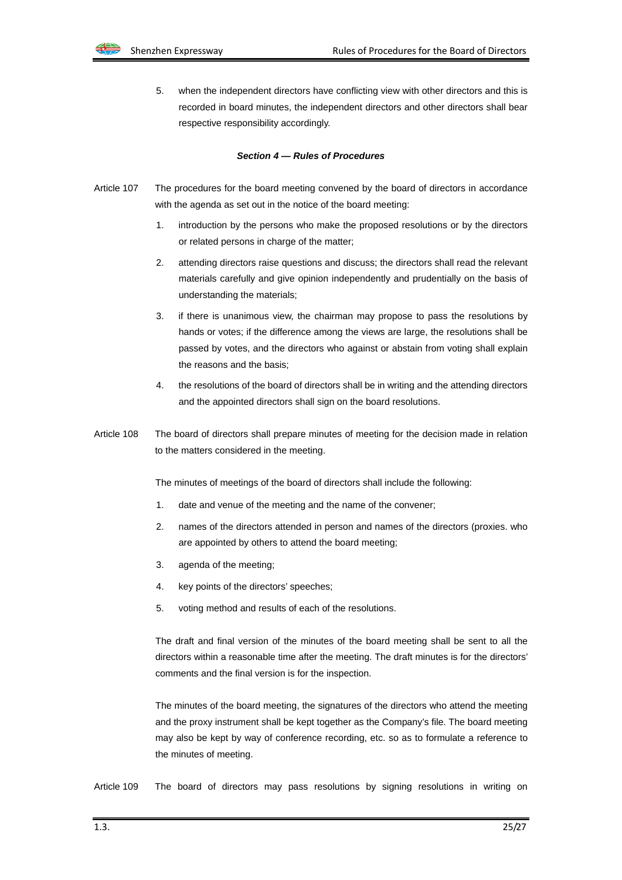

5. when the independent directors have conflicting view with other directors and this is recorded in board minutes, the independent directors and other directors shall bear respective responsibility accordingly.

#### *Section 4 — Rules of Procedures*

- Article 107 The procedures for the board meeting convened by the board of directors in accordance with the agenda as set out in the notice of the board meeting:
	- 1. introduction by the persons who make the proposed resolutions or by the directors or related persons in charge of the matter;
	- 2. attending directors raise questions and discuss; the directors shall read the relevant materials carefully and give opinion independently and prudentially on the basis of understanding the materials;
	- 3. if there is unanimous view, the chairman may propose to pass the resolutions by hands or votes; if the difference among the views are large, the resolutions shall be passed by votes, and the directors who against or abstain from voting shall explain the reasons and the basis;
	- 4. the resolutions of the board of directors shall be in writing and the attending directors and the appointed directors shall sign on the board resolutions.
- Article 108 The board of directors shall prepare minutes of meeting for the decision made in relation to the matters considered in the meeting.

The minutes of meetings of the board of directors shall include the following:

- 1. date and venue of the meeting and the name of the convener;
- 2. names of the directors attended in person and names of the directors (proxies. who are appointed by others to attend the board meeting;
- 3. agenda of the meeting;
- 4. key points of the directors' speeches;
- 5. voting method and results of each of the resolutions.

The draft and final version of the minutes of the board meeting shall be sent to all the directors within a reasonable time after the meeting. The draft minutes is for the directors' comments and the final version is for the inspection.

The minutes of the board meeting, the signatures of the directors who attend the meeting and the proxy instrument shall be kept together as the Company's file. The board meeting may also be kept by way of conference recording, etc. so as to formulate a reference to the minutes of meeting.

Article 109 The board of directors may pass resolutions by signing resolutions in writing on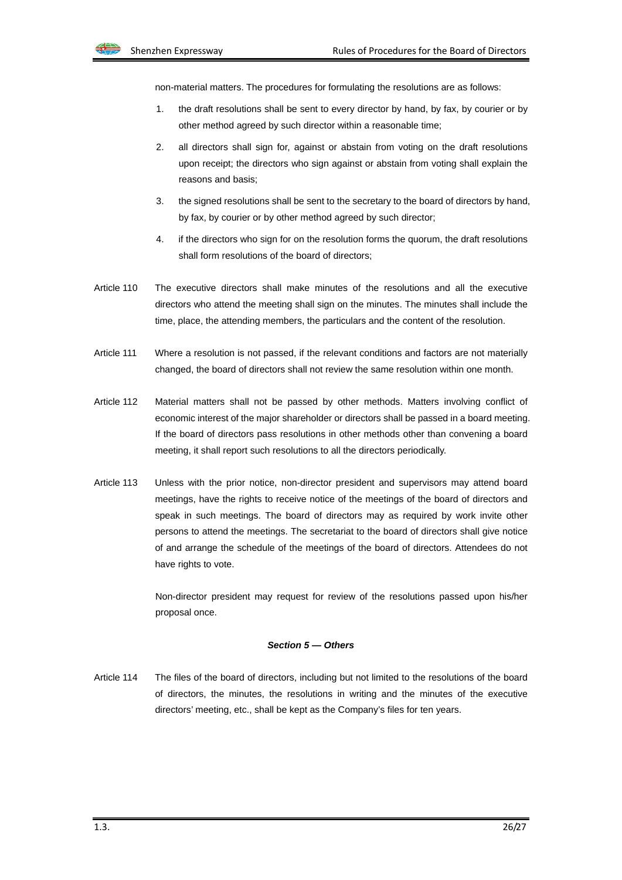

non-material matters. The procedures for formulating the resolutions are as follows:

- 1. the draft resolutions shall be sent to every director by hand, by fax, by courier or by other method agreed by such director within a reasonable time;
- 2. all directors shall sign for, against or abstain from voting on the draft resolutions upon receipt; the directors who sign against or abstain from voting shall explain the reasons and basis;
- 3. the signed resolutions shall be sent to the secretary to the board of directors by hand, by fax, by courier or by other method agreed by such director;
- 4. if the directors who sign for on the resolution forms the quorum, the draft resolutions shall form resolutions of the board of directors;
- Article 110 The executive directors shall make minutes of the resolutions and all the executive directors who attend the meeting shall sign on the minutes. The minutes shall include the time, place, the attending members, the particulars and the content of the resolution.
- Article 111 Where a resolution is not passed, if the relevant conditions and factors are not materially changed, the board of directors shall not review the same resolution within one month.
- Article 112 Material matters shall not be passed by other methods. Matters involving conflict of economic interest of the major shareholder or directors shall be passed in a board meeting. If the board of directors pass resolutions in other methods other than convening a board meeting, it shall report such resolutions to all the directors periodically.
- Article 113 Unless with the prior notice, non-director president and supervisors may attend board meetings, have the rights to receive notice of the meetings of the board of directors and speak in such meetings. The board of directors may as required by work invite other persons to attend the meetings. The secretariat to the board of directors shall give notice of and arrange the schedule of the meetings of the board of directors. Attendees do not have rights to vote.

Non-director president may request for review of the resolutions passed upon his/her proposal once.

#### *Section 5 — Others*

Article 114 The files of the board of directors, including but not limited to the resolutions of the board of directors, the minutes, the resolutions in writing and the minutes of the executive directors' meeting, etc., shall be kept as the Company's files for ten years.